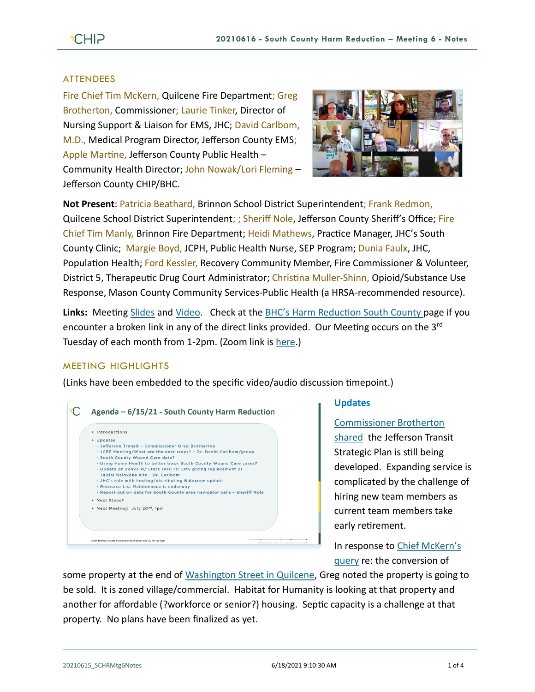### ATTENDEES

Fire Chief Tim McKern, Quilcene Fire Department; Greg Brotherton, Commissioner; Laurie Tinker, Director of Nursing Support & Liaison for EMS, JHC; David Carlbom, M.D., Medical Program Director, Jefferson County EMS; Apple Martine, Jefferson County Public Health – Community Health Director; John Nowak/Lori Fleming – Jefferson County CHIP/BHC.



**Not Present**: Patricia Beathard, Brinnon School District Superintendent; Frank Redmon, Quilcene School District Superintendent; ; Sheriff Nole, Jefferson County Sheriff's Office; Fire Chief Tim Manly, Brinnon Fire Department; Heidi Mathews, Practice Manager, JHC's South County Clinic; Margie Boyd, JCPH, Public Health Nurse, SEP Program; Dunia Faulx, JHC, Population Health; Ford Kessler, Recovery Community Member, Fire Commissioner & Volunteer, District 5, Therapeutic Drug Court Administrator; Christina Muller-Shinn, Opioid/Substance Use Response, Mason County Community Services-Public Health (a HRSA-recommended resource).

**Links:** Meeting [Slides](https://793b0af6-bf22-4c2c-91c8-8cc6fd2f172d.filesusr.com/ugd/2fdcdd_844f2dd349954f33ab5dd34c0b8adaf6.pdf) and [Video.](https://www.youtube.com/watch?v=MqNLm0JWMQg) Check at the [BHC's Harm Reduction South County p](https://www.behealthyjefferson.com/bhcharmreduction)age if you encounter a broken link in any of the direct links provided. Our Meeting occurs on the 3<sup>rd</sup> Tuesday of each month from 1-2pm. (Zoom link i[s here.](https://zoom.us/j/97908186807?pwd=QTFtTTNJRkFnRzJwZ1poK2lvcWxUdz09))

#### MEETING HIGHLIGHTS

(Links have been embedded to the specific video/audio discussion timepoint.)

| · Introductions |                                                                                                                      |  |
|-----------------|----------------------------------------------------------------------------------------------------------------------|--|
| · Updates       |                                                                                                                      |  |
|                 | - Jefferson Transit - Commissioner Greg Brotherton                                                                   |  |
|                 | - JCEP Meeting/What are the next steps? - Dr. David Carlbom/group                                                    |  |
|                 | - South County Wound Care data?                                                                                      |  |
|                 | - Using Home Health to better track South County Wound Care cases?                                                   |  |
|                 | - Update on convo w/ State DOH re: EMS giving replacement or                                                         |  |
|                 | initial Naloxone kits - Dr. Carlbom                                                                                  |  |
|                 | - JHC's role with hosting/distributing Naloxone update                                                               |  |
|                 | - Resource List Maintenance is underway<br>- Report out on data for South County area navigator calls - Sheriff Nole |  |
|                 |                                                                                                                      |  |
| * Next Steps?   |                                                                                                                      |  |
|                 | . Next Meeting: July 20 <sup>nd</sup> , 1pm                                                                          |  |
|                 |                                                                                                                      |  |
|                 |                                                                                                                      |  |
|                 |                                                                                                                      |  |

#### **Updates**

[Commissioner Brotherton](https://youtu.be/MqNLm0JWMQg?t=84) 

[shared](https://youtu.be/MqNLm0JWMQg?t=84) the Jefferson Transit Strategic Plan is still being developed. Expanding service is complicated by the challenge of hiring new team members as current team members take early retirement.

In response to [Chief McKern's](https://youtu.be/MqNLm0JWMQg?t=149)  [query](https://youtu.be/MqNLm0JWMQg?t=149) re: the conversion of

some property at the end of [Washington Street in Quilcene,](https://www.google.com/maps/@47.8238598,-122.8799586,16.58z) Greg noted the property is going to be sold. It is zoned village/commercial. Habitat for Humanity is looking at that property and another for affordable (?workforce or senior?) housing. Septic capacity is a challenge at that property. No plans have been finalized as yet.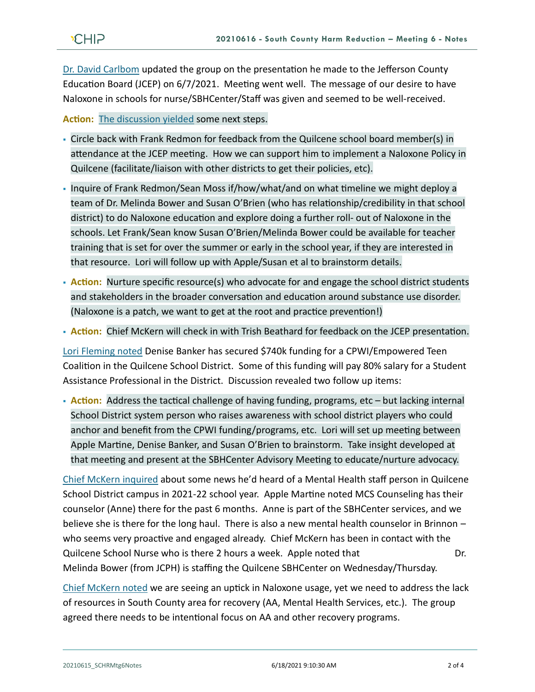[Dr. David Carlbom](https://youtu.be/MqNLm0JWMQg?t=250) updated the group on the presentation he made to the Jefferson County Education Board (JCEP) on 6/7/2021. Meeting went well. The message of our desire to have Naloxone in schools for nurse/SBHCenter/Staff was given and seemed to be well-received.

**Action:** [The discussion yielded](https://youtu.be/MqNLm0JWMQg?t=561) some next steps.

- Circle back with Frank Redmon for feedback from the Quilcene school board member(s) in attendance at the JCEP meeting. How we can support him to implement a Naloxone Policy in Quilcene (facilitate/liaison with other districts to get their policies, etc).
- Inquire of Frank Redmon/Sean Moss if/how/what/and on what timeline we might deploy a team of Dr. Melinda Bower and Susan O'Brien (who has relationship/credibility in that school district) to do Naloxone education and explore doing a further roll- out of Naloxone in the schools. Let Frank/Sean know Susan O'Brien/Melinda Bower could be available for teacher training that is set for over the summer or early in the school year, if they are interested in that resource. Lori will follow up with Apple/Susan et al to brainstorm details.
- **Action:** Nurture specific resource(s) who advocate for and engage the school district students and stakeholders in the broader conversation and education around substance use disorder. (Naloxone is a patch, we want to get at the root and practice prevention!)
- **Action:** Chief McKern will check in with Trish Beathard for feedback on the JCEP presentation.

[Lori Fleming noted](https://youtu.be/MqNLm0JWMQg?t=902) Denise Banker has secured \$740k funding for a CPWI/Empowered Teen Coalition in the Quilcene School District. Some of this funding will pay 80% salary for a Student Assistance Professional in the District. Discussion revealed two follow up items:

**• Action:** Address the tactical challenge of having funding, programs, etc – but lacking internal School District system person who raises awareness with school district players who could anchor and benefit from the CPWI funding/programs, etc. Lori will set up meeting between Apple Martine, Denise Banker, and Susan O'Brien to brainstorm. Take insight developed at that meeting and present at the SBHCenter Advisory Meeting to educate/nurture advocacy.

[Chief McKern inquired](https://youtu.be/MqNLm0JWMQg?t=361) about some news he'd heard of a Mental Health staff person in Quilcene School District campus in 2021-22 school year. Apple Martine noted MCS Counseling has their counselor (Anne) there for the past 6 months. Anne is part of the SBHCenter services, and we believe she is there for the long haul. There is also a new mental health counselor in Brinnon – who seems very proactive and engaged already. Chief McKern has been in contact with the Quilcene School Nurse who is there 2 hours a week. Apple noted that Dr. Melinda Bower (from JCPH) is staffing the Quilcene SBHCenter on Wednesday/Thursday.

[Chief McKern noted](https://youtu.be/MqNLm0JWMQg?t=1437) we are seeing an uptick in Naloxone usage, yet we need to address the lack of resources in South County area for recovery (AA, Mental Health Services, etc.). The group agreed there needs to be intentional focus on AA and other recovery programs.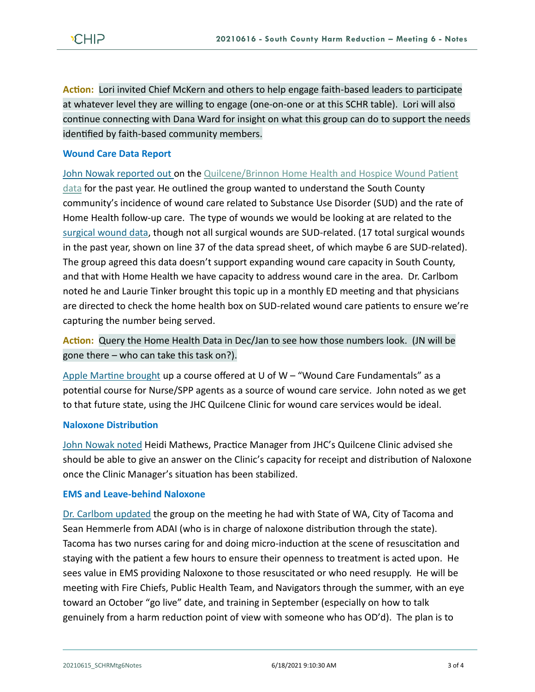**Action:** Lori invited Chief McKern and others to help engage faith-based leaders to participate at whatever level they are willing to engage (one-on-one or at this SCHR table). Lori will also continue connecting with Dana Ward for insight on what this group can do to support the needs identified by faith-based community members.

# **Wound Care Data Report**

[John Nowak reported out o](https://youtu.be/MqNLm0JWMQg?t=1573)n the Quilcene/Brinnon Home Health and Hospice Wound Patient

[data](https://793b0af6-bf22-4c2c-91c8-8cc6fd2f172d.filesusr.com/ugd/2fdcdd_6ce90cf5ef9a48b3afb3b0af526325b5.pdf) for the past year. He outlined the group wanted to understand the South County community's incidence of wound care related to Substance Use Disorder (SUD) and the rate of Home Health follow-up care. The type of wounds we would be looking at are related to the [surgical wound data,](https://793b0af6-bf22-4c2c-91c8-8cc6fd2f172d.filesusr.com/ugd/2fdcdd_6ce90cf5ef9a48b3afb3b0af526325b5.pdf) though not all surgical wounds are SUD-related. (17 total surgical wounds in the past year, shown on line 37 of the data spread sheet, of which maybe 6 are SUD-related). The group agreed this data doesn't support expanding wound care capacity in South County, and that with Home Health we have capacity to address wound care in the area. Dr. Carlbom noted he and Laurie Tinker brought this topic up in a monthly ED meeting and that physicians are directed to check the home health box on SUD-related wound care patients to ensure we're capturing the number being served.

**Action:** Query the Home Health Data in Dec/Jan to see how those numbers look. (JN will be gone there – who can take this task on?).

[Apple Martine brought](https://youtu.be/MqNLm0JWMQg?t=2012) up a course offered at U of  $W -$  "Wound Care Fundamentals" as a potential course for Nurse/SPP agents as a source of wound care service. John noted as we get to that future state, using the JHC Quilcene Clinic for wound care services would be ideal.

#### **Naloxone Distribution**

[John Nowak noted](https://youtu.be/MqNLm0JWMQg?t=2420) Heidi Mathews, Practice Manager from JHC's Quilcene Clinic advised she should be able to give an answer on the Clinic's capacity for receipt and distribution of Naloxone once the Clinic Manager's situation has been stabilized.

#### **EMS and Leave-behind Naloxone**

[Dr. Carlbom](https://youtu.be/MqNLm0JWMQg?t=2456) updated the group on the meeting he had with State of WA, City of Tacoma and Sean Hemmerle from ADAI (who is in charge of naloxone distribution through the state). Tacoma has two nurses caring for and doing micro-induction at the scene of resuscitation and staying with the patient a few hours to ensure their openness to treatment is acted upon. He sees value in EMS providing Naloxone to those resuscitated or who need resupply. He will be meeting with Fire Chiefs, Public Health Team, and Navigators through the summer, with an eye toward an October "go live" date, and training in September (especially on how to talk genuinely from a harm reduction point of view with someone who has OD'd). The plan is to